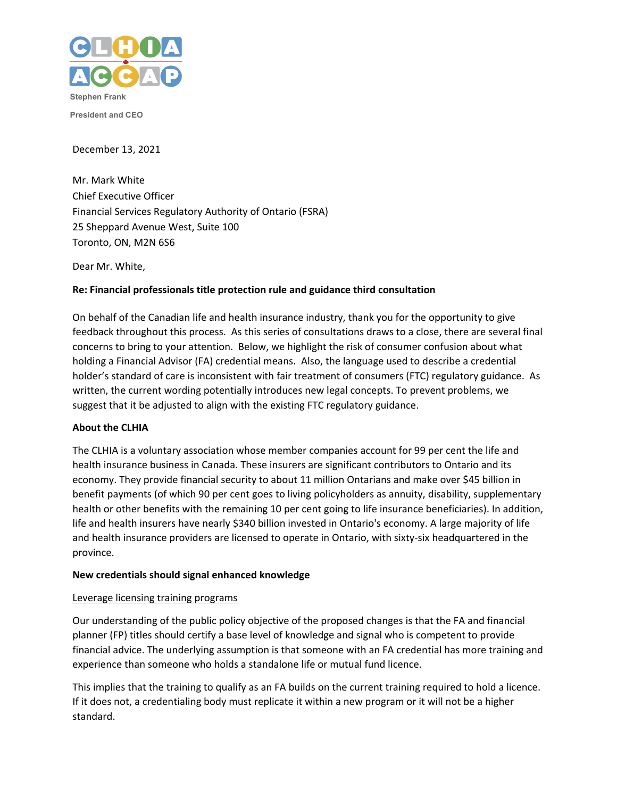

December 13, 2021

Mr. Mark White Chief Executive Officer Financial Services Regulatory Authority of Ontario (FSRA) 25 Sheppard Avenue West, Suite 100 Toronto, ON, M2N 6S6

Dear Mr. White,

## **Re: Financial professionals title protection rule and guidance third consultation**

On behalf of the Canadian life and health insurance industry, thank you for the opportunity to give feedback throughout this process. As this series of consultations draws to a close, there are several final concerns to bring to your attention. Below, we highlight the risk of consumer confusion about what holding a Financial Advisor (FA) credential means. Also, the language used to describe a credential holder's standard of care is inconsistent with fair treatment of consumers (FTC) regulatory guidance. As written, the current wording potentially introduces new legal concepts. To prevent problems, we suggest that it be adjusted to align with the existing FTC regulatory guidance.

## **About the CLHIA**

The CLHIA is a voluntary association whose member companies account for 99 per cent the life and health insurance business in Canada. These insurers are significant contributors to Ontario and its economy. They provide financial security to about 11 million Ontarians and make over \$45 billion in benefit payments (of which 90 per cent goes to living policyholders as annuity, disability, supplementary health or other benefits with the remaining 10 per cent going to life insurance beneficiaries). In addition, life and health insurers have nearly \$340 billion invested in Ontario's economy. A large majority of life and health insurance providers are licensed to operate in Ontario, with sixty-six headquartered in the province.

## **New credentials should signal enhanced knowledge**

### Leverage licensing training programs

Our understanding of the public policy objective of the proposed changes is that the FA and financial planner (FP) titles should certify a base level of knowledge and signal who is competent to provide financial advice. The underlying assumption is that someone with an FA credential has more training and experience than someone who holds a standalone life or mutual fund licence.

This implies that the training to qualify as an FA builds on the current training required to hold a licence. If it does not, a credentialing body must replicate it within a new program or it will not be a higher standard.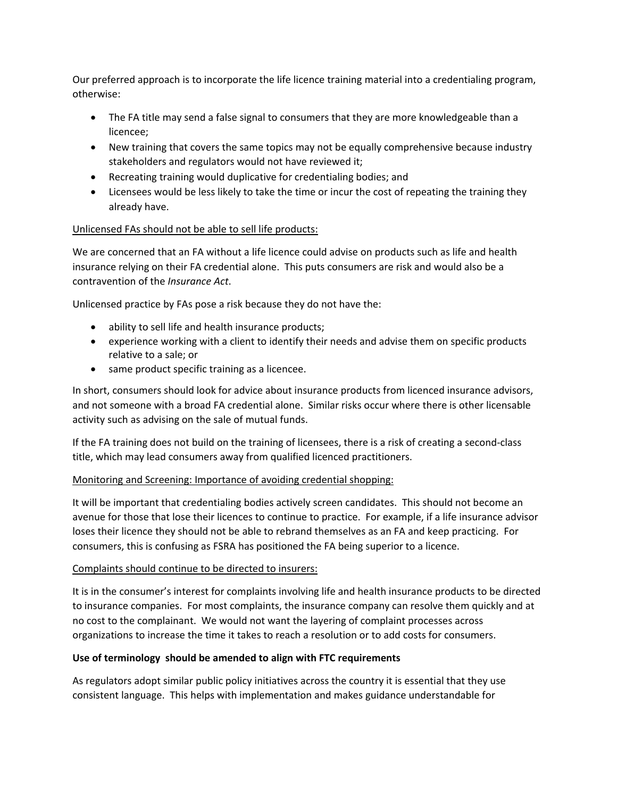Our preferred approach is to incorporate the life licence training material into a credentialing program, otherwise:

- The FA title may send a false signal to consumers that they are more knowledgeable than a licencee;
- New training that covers the same topics may not be equally comprehensive because industry stakeholders and regulators would not have reviewed it;
- Recreating training would duplicative for credentialing bodies; and
- Licensees would be less likely to take the time or incur the cost of repeating the training they already have.

# Unlicensed FAs should not be able to sell life products:

We are concerned that an FA without a life licence could advise on products such as life and health insurance relying on their FA credential alone. This puts consumers are risk and would also be a contravention of the *Insurance Act*.

Unlicensed practice by FAs pose a risk because they do not have the:

- ability to sell life and health insurance products;
- experience working with a client to identify their needs and advise them on specific products relative to a sale; or
- same product specific training as a licencee.

In short, consumers should look for advice about insurance products from licenced insurance advisors, and not someone with a broad FA credential alone. Similar risks occur where there is other licensable activity such as advising on the sale of mutual funds.

If the FA training does not build on the training of licensees, there is a risk of creating a second-class title, which may lead consumers away from qualified licenced practitioners.

## Monitoring and Screening: Importance of avoiding credential shopping:

It will be important that credentialing bodies actively screen candidates. This should not become an avenue for those that lose their licences to continue to practice. For example, if a life insurance advisor loses their licence they should not be able to rebrand themselves as an FA and keep practicing. For consumers, this is confusing as FSRA has positioned the FA being superior to a licence.

# Complaints should continue to be directed to insurers:

It is in the consumer's interest for complaints involving life and health insurance products to be directed to insurance companies. For most complaints, the insurance company can resolve them quickly and at no cost to the complainant. We would not want the layering of complaint processes across organizations to increase the time it takes to reach a resolution or to add costs for consumers.

# **Use of terminology should be amended to align with FTC requirements**

As regulators adopt similar public policy initiatives across the country it is essential that they use consistent language. This helps with implementation and makes guidance understandable for